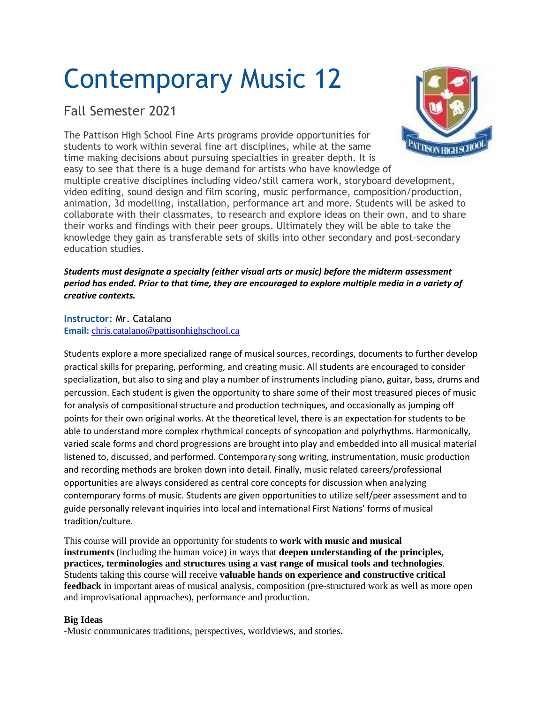# Contemporary Music 12

# Fall Semester 2021

The Pattison High School Fine Arts programs provide opportunities for students to work within several fine art disciplines, while at the same time making decisions about pursuing specialties in greater depth. It is easy to see that there is a huge demand for artists who have knowledge of



multiple creative disciplines including video/still camera work, storyboard development, video editing, sound design and film scoring, music performance, composition/production, animation, 3d modelling, installation, performance art and more. Students will be asked to collaborate with their classmates, to research and explore ideas on their own, and to share their works and findings with their peer groups. Ultimately they will be able to take the knowledge they gain as transferable sets of skills into other secondary and post-secondary education studies.

## *Students must designate a specialty (either visual arts or music) before the midterm assessment* period has ended. Prior to that time, they are encouraged to explore multiple media in a variety of *creative contexts.*

#### **Instructor:** Mr. Catalano **Email:** [chris.catalano@pattisonhighschool.ca](mailto:chris.catalano@pattisonhighschool.ca)

Students explore a more specialized range of musical sources, recordings, documents to further develop practical skills for preparing, performing, and creating music. All students are encouraged to consider specialization, but also to sing and play a number of instruments including piano, guitar, bass, drums and percussion. Each student is given the opportunity to share some of their most treasured pieces of music for analysis of compositional structure and production techniques, and occasionally as jumping off points for their own original works. At the theoretical level, there is an expectation for students to be able to understand more complex rhythmical concepts of syncopation and polyrhythms. Harmonically, varied scale forms and chord progressions are brought into play and embedded into all musical material listened to, discussed, and performed. Contemporary song writing, instrumentation, music production and recording methods are broken down into detail. Finally, music related careers/professional opportunities are always considered as central core concepts for discussion when analyzing contemporary forms of music. Students are given opportunities to utilize self/peer assessment and to guide personally relevant inquiries into local and international First Nations' forms of musical tradition/culture.

This course will provide an opportunity for students to **work with music and musical instruments** (including the human voice) in ways that **deepen understanding of the principles, practices, terminologies and structures using a vast range of musical tools and technologies**. Students taking this course will receive **valuable hands on experience and constructive critical feedback** in important areas of musical analysis, composition (pre-structured work as well as more open and improvisational approaches), performance and production.

#### **Big Ideas**

-Music communicates traditions, perspectives, worldviews, and stories.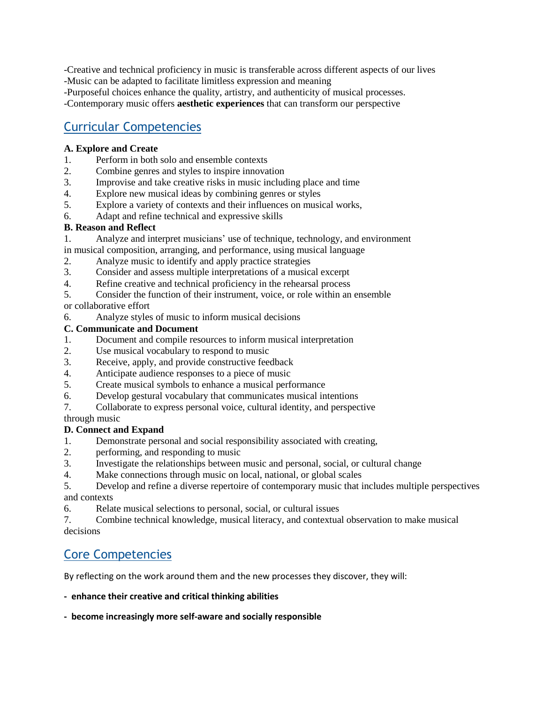-Creative and technical proficiency in music is transferable across different aspects of our lives -Music can be adapted to facilitate limitless expression and meaning

-Purposeful choices enhance the quality, artistry, and authenticity of musical processes.

-Contemporary music offers **aesthetic experiences** that can transform our perspective

# Curricular Competencies

## **A. Explore and Create**

- 1. Perform in both solo and ensemble contexts
- 2. Combine genres and styles to inspire innovation
- 3. Improvise and take creative risks in music including place and time
- 4. Explore new musical ideas by combining genres or styles
- 5. Explore a variety of contexts and their influences on musical works,
- 6. Adapt and refine technical and expressive skills

## **B. Reason and Reflect**

- 1. Analyze and interpret musicians' use of technique, technology, and environment
- in musical composition, arranging, and performance, using musical language
- 2. Analyze music to identify and apply practice strategies
- 3. Consider and assess multiple interpretations of a musical excerpt
- 4. Refine creative and technical proficiency in the rehearsal process
- 5. Consider the function of their instrument, voice, or role within an ensemble

# or collaborative effort

6. Analyze styles of music to inform musical decisions

## **C. Communicate and Document**

- 1. Document and compile resources to inform musical interpretation
- 2. Use musical vocabulary to respond to music
- 3. Receive, apply, and provide constructive feedback
- 4. Anticipate audience responses to a piece of music
- 5. Create musical symbols to enhance a musical performance
- 6. Develop gestural vocabulary that communicates musical intentions
- 7. Collaborate to express personal voice, cultural identity, and perspective

through music

## **D. Connect and Expand**

- 1. Demonstrate personal and social responsibility associated with creating,
- 2. performing, and responding to music
- 3. Investigate the relationships between music and personal, social, or cultural change
- 4. Make connections through music on local, national, or global scales
- 5. Develop and refine a diverse repertoire of contemporary music that includes multiple perspectives and contexts
- 6. Relate musical selections to personal, social, or cultural issues

7. Combine technical knowledge, musical literacy, and contextual observation to make musical decisions

# Core Competencies

By reflecting on the work around them and the new processes they discover, they will:

**- enhance their creative and critical thinking abilities**

#### **- become increasingly more self-aware and socially responsible**